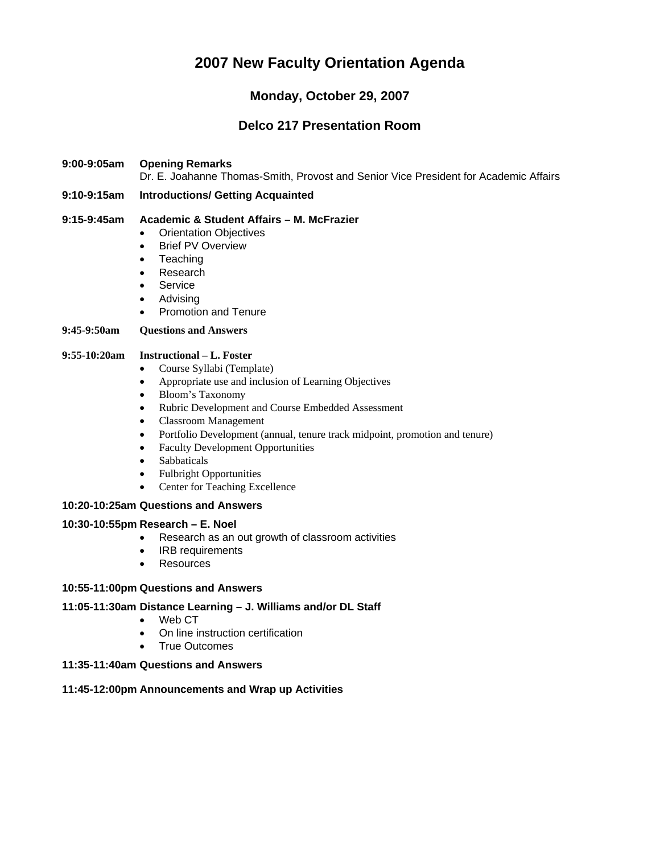# **2007 New Faculty Orientation Agenda**

# **Monday, October 29, 2007**

# **Delco 217 Presentation Room**

### **9:00-9:05am Opening Remarks**

Dr. E. Joahanne Thomas-Smith, Provost and Senior Vice President for Academic Affairs

### **9:10-9:15am Introductions/ Getting Acquainted**

#### **9:15-9:45am Academic & Student Affairs – M. McFrazier**

- Orientation Objectives
- Brief PV Overview
- Teaching
- Research
- Service
- Advising
- Promotion and Tenure

#### **9:45-9:50am Questions and Answers**

#### **9:55-10:20am Instructional – L. Foster**

- Course Syllabi (Template)
- Appropriate use and inclusion of Learning Objectives
- Bloom's Taxonomy
- Rubric Development and Course Embedded Assessment
- Classroom Management
- Portfolio Development (annual, tenure track midpoint, promotion and tenure)
- Faculty Development Opportunities
- Sabbaticals
- Fulbright Opportunities
- Center for Teaching Excellence

#### **10:20-10:25am Questions and Answers**

#### **10:30-10:55pm Research – E. Noel**

- Research as an out growth of classroom activities
- IRB requirements
- Resources

#### **10:55-11:00pm Questions and Answers**

#### **11:05-11:30am Distance Learning – J. Williams and/or DL Staff**

- Web CT
- On line instruction certification
- True Outcomes

### **11:35-11:40am Questions and Answers**

#### **11:45-12:00pm Announcements and Wrap up Activities**